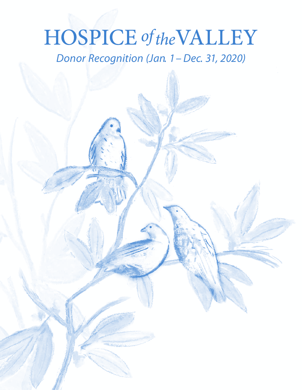# **HOSPICE** of the VALLEY

*Donor Recognition (Jan. 1– Dec. 31, 2020)*

*\* In Remembrance*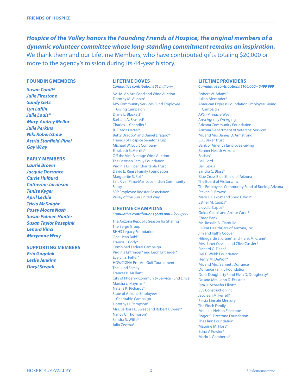*Hospice of the Valley honors the Founding Friends of Hospice, the original members of a dynamic volunteer committee whose long-standing commitment remains an inspiration.*  We thank them and our Lifetime Members, who have contributed gifts totaling \$20,000 or more to the agency's mission during its 44-year history.

#### **FOUNDING MEMBERS**

*Susan Cohill\* Julie Firestone Sandy Getz Lyn Laflin Julie Louis\* Mary-Audrey Mellor Julie Perkins Niki Robertshaw Astrid Stanfield-Pinel Gay Wray*

#### **EARLY MEMBERS** *Laurie Brown*

*Jacquie Dorrance Carrie Hulburd Catherine Jacobson Tenise Kyger April Leckie Tricia McKnight Posey Moore Nash Susan Palmer-Hunter Susan Taylor Rosepink Lenora Vinci Maryanne Wray*

### **SUPPORTING MEMBERS** *Erin Gogolak Leslie Jenkins Daryl Stegall*

## **LIFETIME DOVES**

*Cumulative contributions \$1 million+* AAHA! An Art, Food and Wine Auction Dorothy M. Allphin\* APS Community Services Fund Employee Giving Campaign Diane L. Blackett\* Barbara A. Brasted\* Charles L. Chandler\* R. Elzada Darter\* Betty Dragoo\* and Daniel Dragoo\* Friends of Hospice Senator's Cup Michael W. Louis Company Elizabeth S. Merritt\* Off the Vine Vintage Wine Auction The Ottosen Family Foundation Virginia G. Piper Charitable Trust David E. Reese Family Foundation Marguerite S. Roll\* Salt River Pima-Maricopa Indian Community Santy SRP Employee Booster Association Valley of the Sun United Way

**LIFETIME CHAMPIONS** *Cumulative contributions \$500,000 – \$999,999* The Arizona Republic Season for Sharing The Berge Group BHHS Legacy Foundation Opal Jean Buhl\* Francis J. Cody\* Combined Federal Campaign Virginia Entringer\* and Leon Entringer\* Evelyn S. Feffer\* HOV/CIGNA Pro-Am Golf Tournament The Lund Family Frances B. Mullan\* City of Phoenix Community Service Fund Drive Marsha E. Playman\* Natalie K. Richards\* State of Arizona Employees Charitable Campaign Dorothy H. Stimpson\* Mrs. Barbara L. Sweet and Robert I. Sweet\* Nancy C. Thompson\* Sandra S. Willis\* Julio Zezima\*

#### **LIFETIME PROVIDERS**

*Cumulative contributions \$100,000 – \$499,999*

Robert W. Adami\* Julian Alexander\* American Express Foundation Employee Giving Campaign APS –Pinnacle West Area Agency On Aging Arizona Community Foundation Arizona Department of Veterans' Services Mr. and Mrs. James D. Armstrong C.K. Baker Trust Bank of America Employee Giving Banner Health Arizona Bashas' Bell Ford Bell Lexus Sandra C. Bloss\* Blue Cross Blue Shield of Arizona The Board of Visitors, Inc. The Employees Community Fund of Boeing Arizona Steven R. Brown\* Mary L. Cakos\* and Spiro Cakos\* Esther M. Capps\* Lloyd L. Capps\* Golda Carlo\* and Arthur Carlo\* Chase Bank Ms. Rosalie A. Ciardullo CIGNA HealthCare of Arizona, Inc. Jim and Kathy Coover Hildegarde S. Crane\* and Frank M. Crane\* Mrs. Janet Cussler and Clive Cussler\* Richard C. Dean\* Del E. Webb Foundation Henry M. DeWolf\* Mr. and Mrs. Bennett Dorrance Dorrance Family Foundation Doris Dougherty\* and Elvin D. Dougherty\* Dr. and Mrs. John D. Eckstein Rita H. Schaefer Elliott\* ELS Construction Inc. Jacqleen M. Ferrell\* Fiesta Lincoln Mercury The Finch Family Ms. Julie Nelson Firestone Roger S. Firestone Foundation The Flinn Foundation Maurine M. Floss\* Edna V. Fowler\* Mario J. Gambetta\*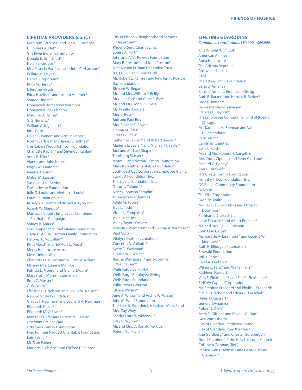#### **LIFETIME PROVIDERS (cont.)**

Monique Gardiner\* and John C. Gardiner\* E. Louise Gaudet\* Gila River Indian Community Donald E. Grindstad\* Helen B. Grubbs\* Mrs. Patricia Hardison and John C. Hardison\* Willard M. Hayes\* Henkel Corporation Ruth M. Henry\* I. Jerome Hirsch Edna Hoefner\* and Joseph Hoefner\* Sharon Hogan\* Honeywell Hometown Solutions Honeywell, Inc –Phoenix Maurine D. Horne\* Gita Hurwitz\* William A. Inglehart\* Intel Corp. Lillian B. Ivener\* and Arthur Ivener\* Norma Jeffries\* and James B. Jeffries\* The Robert Wood Johnson Foundation Charlotte Kaplan\* and Seymour Kaplan\* Anna K. Klier\* Vianne and John Kucera Peggy M. Lamoree\* Jeanne A. Lang\* Mabel M. Larson\* Susan and Bill Levine The Lodestar Foundation Julie D. Louis\* and Herbert J. Louis\* Louis Foundation, Inc. Rosalyn B. Lyon\* and Russell A. Lyon Jr.\* Joseph W. Maresco\* Maricopa County Employees Combined Charitable Campaign Shirley A. Marks\* The Kemper and Ethel Marley Foundation Oscar G. & Elsa S. Mayer Family Foundation Delores A. McCollum\* Ruth Mead\* and Newton C. Mead\* Mercy Healthcare Arizona Mesa United Way Charlotte D. Miller\* and William W. Miller\* Mr. and Mrs. Eugene Monroe Patricia L. Moore\* and Glen E. Moore\* Margaret T. Morris Foundation Ruth C. Musser\* C. W. Neely\* Christena D. Nelson\* and Orville W. Nelson\* New York Life Foundation Gladys F. Newman\* and Leonard A. Newman\* Elizabeth Nicoli\* Elizabeth M. O'Flynn\* Joan H. O'Hara\* and Robert N. O'Hara\* OnePoint Patient Care Otterbeck Family Foundation Fred Runnels Padgett Charitable Foundation Lois Palmer\* Mr. Sam Parker Marjorie S. Phipps\* and Clifford F. Phipps\*

City of Phoenix Neighborhood Services Department Phoenix Suns Charities, Inc. Louise A. Portl\* John and Alice Powers Foundation Mary E. Preston\* and John Preston\* Nina Mason Pulliam Charitable Trust R.T. O'Sullivan's Sports Grill Mr. Robert E. Ramsey and Rev. Jenny Norton Ray Foundation Richard W. Regan\* Mr. and Mrs. William P. Reilly Mrs. Lola Rice and Gene E. Rice\* Mr. and Mrs. John R. Rivers Ms. Noelle Rodgers Muriel Ross\* Judi and Paul Ross Mrs. Eleanor E. Rowan Donna M. Russ\* Susan G. Salus\* Catherine Seiwell\* and Robert Seiwell\* Marlene E. Seyler\* and Michael H. Seyler\* Tara and Michael Shapiro Thorbjorg Slusser\* James C. and Norma I. Smith Foundation Mary Ilo Smith Charitable Foundation Southwest Gas Corporation Employee Giving Stardust Foundation, Inc. The Steele Foundation, Inc. Dorothy Talondo\* Nancy Johnson Templin\* Thunderbirds Charities Adela M. Tobias\* Elva L. Todd\* Vickie L. Tompkins\* Valle Luna, Inc Valley Toyota Dealers Patricia J. Vermazen\* and George A. Vermazen\* Viad Corp Vitalyst Health Foundation Concetta A. Vollrath\* Avery D. Weisman\* Elizabeth L. Welch\* Bertha Wellhausen\* and Robert W. Wellhausen\* Wells Fargo Bank, N.A. Wells Fargo Employee Giving Wells Fargo Foundation Willis Towers Watson Clarice Willsey\* June A. Wilson\* and Archie W. Wilson\* John M. Wolff Foundation The Ellen B. Woodnick & Barbara Moss Fund Mrs. Gay Wray Sandra Clare Wroblewski\* Gary C. Wynne\* Mr. and Mrs. D. Ronald Yagoda Peter J. Yurkovich\*

#### **LIFETIME GUARDIANS**

*Cumulative contributions \$50,000 – \$99,999*

AlliedSignal "GO" Club American Airlines Apria Healthcare The Arizona Republic Arrowhead Lexus AT&T The AtLee Family Foundation Bank of America Bank of America Employee Giving Ruth B. Barker\* and Hartley B. Barker\* Olga R. Bender\* Berge Mazda-Volkswagen Frances E. Beynon\* The Employees Community Fund of Boeing Chicago Ms. Kathleen M. Brennan and Val J. Halamandaris\* Vera Busch\* Cardinals Charities Celia C. Cash\* Mr. and Mrs. Robert H. Castellini Mrs. Doris Cipriano and Peter Cipriano\* Richard G. Coney\* Ann I. Cornwell\* The Crystal Family Foundation Timothy T. Day Foundation, Inc. DC Ranch Community Foundation Deloitte The Dial Corporation Dignity Health Mrs. Jo Ellen Doornbos and Philip H. Doornbos\* Earnhardt Dealerships Liese Eckstein\* and Albert Eckstein\* Mr. and Mrs. Paul F. Eckstein John Orin Edson\* Margarette A. Eisenhour\* and George W. Eisenhour\* Ruth R. Ellbogen Foundation Emerald Foundation Will I. Ennis\* Carol A. Frickson\* Wilma U. Fanz\* and Walter Fanz\* Kathleen Fawcett\* Vera E. Finkbeiner\* and Earl R. Finkbeiner\* FINOVA Capital Corporation Mr. Stephen Freegard and Phyllis J. Freegard\* Zita K. Fritschel\* and Edwin O. Fritschel\* Helen D. Gansert\* General Dynamics Robert J. Giles\* Mary E. Gillilan\* and Boyd L. Gillilan\* Give With Liberty City of Glendale Employee Giving City of Glendale From the Heart Ann Goldberg\* and Chester Goldberg Jr.\* Good Shepherd of the Hills Episcopal Church Col. Irwin Gorman, (Ret.) Patricia Ann Grabinski\* and George James Grabinski\*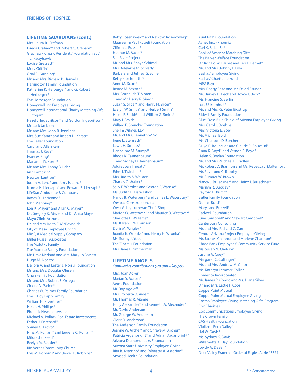#### **LIFETIME GUARDIANS (cont.)**

Mrs. Laura R. Grafman Frieda Graham\* and Robert C. Graham\* Grayhawk Classic Residents' Foundation at Vi at Grayhawk Louise Gressett\* Merv Griffin\* Opal R. Gunning\* Mr. and Mrs. Richard P. Hamada Harrington Family Foundation Katherine K. Herberger\* and G. Robert Herberger\* The Herberger Foundation Honeywell, Inc Employee Giving Honeywell International Charity Matching Gift Progam Hazel J. Ingebritson\* and Gordon Ingebritson\* Mr. Jack Jackson Mr. and Mrs. John R. Jennings Mrs. Sue Karatz and Robert H. Karatz\* The Keller Foundation Carol and Allan Kern Thomas J. Keys\* Frances King\* Marianna D. Korte\* Mr. and Mrs. Lanny B. Lahr Ann Lampkin\* Newton Lantron\* Judith A. Lenz\* and Jerry E. Lenz\* Norma H. Lierzaph\* and Edward E. Lierzaph\* LifeStar Ambulette & Comtrans James R. Lincicome\* John Manning\* Lois K. Mayer\* and Allan C. Mayer\* Dr. Gregory K. Mayer and Dr. Anita Mayer Mayo Clinic Arizona Dr. and Mrs. Keith E. McReynolds City of Mesa Employee Giving MMS, A Medical Supply Company Miller Russell Associates The Molotky Family The Moreno Family Foundation Mr. Dave Nerland and Mrs. Mary Jo Barsetti Hugo M. Nocito\* Dellora A. and Lester J. Norris Foundation Mr. and Mrs. Douglas Olesen Onan Family Foundation Mr. and Mrs. Ruben B. Ortega Cleona V. Paden\* Charles W. Palmer Family Foundation The L. Roy Papp Family William H. Pfoertner\* Helen H. Phillips\* Phoenix Newspapers Inc. Michael A. Pollack Real Estate Investments Esther J. Pritchard\* Shirley G. Provo\* Nina M. Pulliam\* and Eugene C. Pulliam\* Mildred E. Reed\* Evelyn M. Reeder\* Rio Verde Community Church Lois M. Robbins\* and Jewell E. Robbins\*

Betty Rosenzweig\* and Newton Rosenzweig\* Maureen & Paul Rubeli Foundation Clifton L. Russell\* Eleanor M. Sacco\* Salt River Project Mr. and Mrs. Shaya Schimel Mrs. Adelaide M. Schlafly Barbara and Jeffrey G. Schlein Betty R. Schmutte\* Anne M. Scott<sup>\*</sup> Renee M. Sexton\* Mrs. Brunhilde T. Simon and Mr. Harry R. Simon Susan S. Slicer\* and Henry H. Slicer\* Evelyn W. Smith\* and Herbert Smith\* Helen F. Smith\* and William G. Smith\* Mary I. Smith\* Willard E. Smucker Foundation Snell & Wilmer, LLP Mr. and Mrs. Kenneth W. So Irene L. Stenseth\* Lewis H. Strauss\* Hannelore M. Stumpf\* Rhoda K. Tannenbaum\* and Sidney D. Tannenbaum\* Addie Joan Threatt\* Ethel I. Twitchell\* Mrs. Judith S. Wallace Charles C. Walter\* Sally F. Warnke\* and George F. Warnke\* Ms. Judith Blass Washor Nancy B. Waterbury\* and James L. Waterbury\* Wespac Construction, Inc. West Valley Lutheran Thrift Shop Marion O. Westover\* and Maurice B. Westover\* Charlotte L. Williams\* Ms. Karen L. Williamson Doris M. Wrigley\* Juanita B. Wronka\* and Henry H. Wronka\* Ms. Sunny J. Yocum The Zicarelli Foundation Mrs. Jane F. Zimmerman

#### **LIFETIME ANGELS**

*Cumulative contributions \$20,000 – \$49,999*

Mrs. Joan Acker Marian S. Adrian\* Aetna Foundation Mr. Roy Ageloff Mrs. Roberta D. Aidem Mr. Thomas R. Ajamie Holly Alexander\* and Kenneth A. Alexander\* Mr. David Anderson Mr. George W. Anderson Gloria Y. Anderson\* The Anderson Family Foundation Jeanne W. Archer\* and Shreve M. Archer\* Patricia Arganbright\* and Adrian Arganbright\* Arizona Diamondbacks Foundation Arizona State University Employee Giving Rita B. Astorino\* and Sylvester A. Astorino\* Atwood Health Foundation

Aunt Rita's Foundation Avnet Inc. –Phoenix Carl K. Baker Sr.\* Bank of America Matching Gifts The Barker Welfare Foundation Dr. Ronald W. Barnet and Teri L. Barnet\* Mr. and Mrs. Johnny Basha Bashas' Employee Giving Bashas' Charitable Fund MPG Bayne Mrs. Peggy Baze and Mr. David Bruner Mr. Harvey D. Beck and Joyce J. Beck\* Ms. Francine S. Berlin Tora U. Bernhult\* Mr. and Mrs. G. Peter Bidstrup Bidwill Family Foundation Blue Cross Blue Shield of Arizona Employee Giving Mrs. Carol J. Boehlje Mrs. Victoria E. Boer Mr. Michael Boich Ms. Charlotte D. Borcher Billye R. Boucaud\* and Claude R. Boucaud\* Anna K. Boyd\* and Vernon E. Boyd\* Helen S. Boylan Foundation Mr. and Mrs. Michael P. Bradley Mr. Robert D. Brannon and Ms. Rebecca J. Maltenfort Mr. Raymond C. Brophy Mr. Sumner W. Brown Nancy J. Brueckner\* and Heinz J. Brueckner\* Marilyn R. Buckley\* Rayford B. Burch\* Butler Family Foundation Odette Butti\* Mary Jane Buzzell\* Cadwell Foundation June Campbell\* and Stewart Campbell\* Canterbury Consulting Mr. and Mrs. Richard C. Carr Central Arizona Project Employee Giving Mr. Jack M. Chareton and Marlene Chareton\* Chase Bank Employees' Community Service Fund Ms. Susan N. Clarkson Justine A. Coey\* Margaret C. Coffinger\* Mr. and Mrs. Andrew M. Cohn Ms. Kathryn Lemmer Collier Comerica Incorporated Mr. James R. Condo and Ms. Diane Silver Dr. and Mrs. Lattie F. Coor CopperPoint Mutual CopperPoint Mutual Employee Giving Costco Employee Giving Matching Gifts Program Cox Charities Cox Communications Employee Giving The Crown Family CVS Health Foundation Viollette Fern Dailey\* Hal W. Davis\* Ms. Sydney K. Davis Willametta K. Day Foundation Jowdy A. DeBan\* Deer Valley Fraternal Order of Eagles Aerie #3871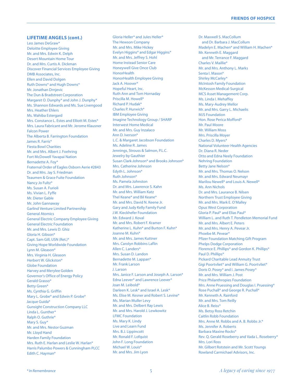#### **LIFETIME ANGELS (cont.)**

Leo James DeGraw\* Deloitte Employee Giving Mr. and Mrs. Edwin K. Delph Desert Mountain Home Tour Dr. and Mrs. Curtis A. Dickman Discover Financial Services Employee Giving DMB Associates, Inc. Ellen and David Dolgen Ruth Downs\* and Hugh Downs\* Mr. Jonathan Drnjevic The Dun & Bradstreet Corporation Margaret O. Dunphy\* and John J. Dunphy\* Ms. Shannon Edwards and Ms. Sue Livengood Mrs. Heather Ehlers Ms. Wahiba Estergard Mrs. Constance L. Estes and Elliott M. Estes\* Mrs. Laura Fabricant and Mr. Jerome Klausner Falcon Power The Alberta B. Farrington Foundation James R. Farris\* Fiesta Bowl Charities Mr. and Mrs. Albert J. Foehring Fort McDowell Yavapai Nation Bernadette A. Foy\* Fraternal Order of Eagles Osborn Aerie #2843 Dr. and Mrs. Jay S. Friedman Teaumen & Grace Fuite Foundation Nancy Jo Fultz\* Ms. Susan A. Furioli Ms. Vivian L. Fyffe Mr. Dieter Gable Mr. John Gannaway Garlind Venture Limited Partnership General Atomics General Electric Company Employee Giving General Electric Foundation Mr. and Mrs. Lewis D. Ghiz Gloria H. Gibson\* Capt. Sam Gill, USN (Ret.)\* Giving Hope Worldwide Foundation Lynn M. Gleason\* Mrs. Virginia H. Gleason Herbert W. Glickston<sup>\*</sup> Globe Foundation Harvey and Merylee Golden Governor's Office of Energy Policy Gerald Grasso\* Betty Green\* Ms. Cynthia G. Griffin Mary L. Grobe\* and Edwin P. Grobe\* Jacque Guida\* Gunsight Construction Company LLC Linda L. Gunther\* Ralph O. Guthrie\* Mary S. Guy\* Mr. and Mrs. Nestor Guzman Mr. Lloyd Hand Harden Family Foundation Mrs. Ruth E. Harlan and Leslie W. Harlan\* Harris Palumbo Powers & Cunningham PLCC Edith C. Hayman\*

Gloria Heller\* and Jules Heller\* The Hewson Company Mr. and Mrs. Mike Hickey Evelyn Higgins\* and Edgar Higgins\* Mr. and Mrs. Jeffrey S. Hohl Home Instead Senior Care Honeywell Give Once Club **HonorHealth** HonorHealth Employee Giving Jack A. Hoover\* Hopeful Heart, Inc. Ruth Ann and Tom Hornaday Priscilla M. Howell\* Richard P. Hudak\* Charles P. Hurwich\* IBM Employee Giving Imagine Technology Group / SHARP Interwest Home Medical Mr. and Mrs. Guy Inzalaco Ann D. Iverson\* L.C. & Margaret Jacobson Foundation Ms. Adeline R. James Jennings, Strouss & Salmon, P.L.C. Jewelry by Gauthier Susan Clark-Johnson\* and Brooks Johnson\* Mrs. Catherine Johnson Edyth L. Johnson\* Ruth Johnson\* Ms. Pamela Johnston Dr. and Mrs. Lawrence S. Kahn Mr. and Mrs. William Katz Thel Keane\* and Bil Keane\* Mr. and Mrs. David N. Keene Jr. Gary and Judy Kelly Family Fund J.W. Kieckhefer Foundation Mr. Edward J. Koval Mr. and Mrs. Robert F. Kramer Katherine L. Kuhn\* and Burton F. Kuhn\* Joanne M. Kuhn\* Mr. and Mrs. James Kuttner Mrs. Carolyn Robbins Laflin Allen C. Landers\* Mrs. Susan D. Landon Bernadette M. Lappan\* Mr. Frank Larson J. Larson Mrs. Janice F. Larson and Joseph A. Larson\* Edna Leever\* and Lawrence Leever\* Joan M. Leibold\* Darleen K. Lesk\* and Israel A. Lesk\* Ms. Elise M. Kesner and Robert S. Levine\* Ms. Marian Muller Levy Mr. and Mrs. Delbert Ray Lewis Mr. and Mrs. Harold J. Lewkowitz LFMC Foundation Ms. Mary K. Lindy Live and Learn Fund Mrs. B.J. Lippincott Mr. Ronald F. Lofquist John F. Long Foundation Michael W. Louis\* Mr. and Mrs. Jim Lyon

Dr. Maxwell S. MacCollum and Dr. Barbara J. MacCollum Madelyn E. Machen\* and William H. Machen\* Mr. Kenneth E. Maggard and Mr. Terrance F. Maggard Charles V. Maillie\* Mr. and Mrs. Anthony L. Marks Senta I. Mason\* Shirley McCarley\* McIntosh Family Foundation McKesson Medical-Surgical MCS Asset Management Corp. Ms. Linda I. Mehaffey Ms. Mary-Audrey Mellor Mr. and Mrs. Garry L. Michaelis MJS Foundation Hon. Rose Perica Mofford\* Mr. Paul Moore Mr. William Moss Mrs. Priscilla Moyer Charles D. Myers\* National Volunteer Health Agencies Dr. Diana R. Neder Otto and Edna Neely Foundation Nehring Foundation Betty Jane Nelson\* Mr. and Mrs. Thomas O. Nelson Mr. and Mrs. Edward Neumayr Marilou Newell\* and Louis A. Newell\* Ms. Ann Nichols Dr. and Mrs. Laurance B. Nilsen Northern Trust Employee Giving Mr. and Mrs. Mark E. O'Malley Opus West Corporation Gloria P. Paul\* and Elias Paul\* William L. and Ruth T. Pendleton Memorial Fund Mr. and Mrs. Albert E. Peters Mr. and Mrs. Henry A. Pevear Jr. Phoebe M. Pevear\* Pfizer Foundation Matching Gift Program Phelps Dodge Corporation Florence E. Phillips\* and Gordon K. Phillips\* Paul D. Phillips\* Pickard Charitable Lead Annuity Trust Gigi Poortvliet\* and William G. Poortvliet\* Doris O. Posey\* and I. James Posey\* Mr. and Mrs. William J. Post Price Philanthropies Foundation Mrs. Anne Pruessing and Douglas I. Pruessing\* Rose Puchall\* and George R. Puchall\* Mr. Kenneth A. Rainford Mr. and Mrs. Tom Reilly Alice B. Reiss\* Ms. Betsy Ross Retchin Caitlin Robb Foundation Mrs. Anne M. Robbs and A. B. Robbs Jr.\* Ms. Jennifer A. Roberts Barbara Maxine Rocks\* Rev. Q. Gerald Roseberry and Vada L. Roseberry\* Mrs. Lori Ross Mr. Gilbert Rotstein and Mr. Scott Youngs Rowland Carmichael Advisors, Inc.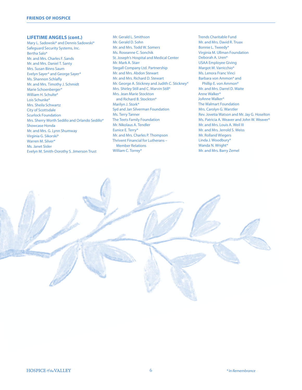#### **LIFETIME ANGELS (cont.)**

Mary L. Sadowski\* and Dennis Sadowski\* Safeguard Security Systems, Inc. Bertha Salo\* Mr. and Mrs. Charles F. Sands Mr. and Mrs. Daniel T. Santy Mrs. Susan Binns Saum Evelyn Sayer\* and George Sayer\* Ms. Shannon Schlafly Mr. and Mrs. Timothy J. Schmidt Marie Schoenberger\* William H. Schulte\* Lois Schunke\* Mrs. Sheila Schwartz City of Scottsdale Scurlock Foundation Mrs. Sherry Worth Sedillo and Orlando Sedillo\* Showcase Honda Mr. and Mrs. G. Lynn Shumway Virginia G. Sikorski\* Warren M. Silver\* Ms. Janet Sisler Evelyn M. Smith-Dorothy S. Jimerson Trust

Mr. Gerald L. Smithson Mr. Gerald D. Sohn Mr. and Mrs. Todd W. Somers Ms. Roseanne C. Sonchik St. Joseph's Hospital and Medical Center Mr. Mark A. Starr Stegall Company Ltd. Partnership Mr. and Mrs. Abdon Stewart Mr. and Mrs. Richard D. Stewart Mr. George A. Stickney and Judith C. Stickney\* Mrs. Shirley Still and C. Marvin Still\* Mrs. Jean Marie Stockton and Richard B. Stockton\* Marilyn J. Stork\* Syd and Jan Silverman Foundation Ms. Terry Tanner The Teets Family Foundation Mr. Nikolaus A. Tendler Eunice E. Terry\* Mr. and Mrs. Charles P. Thompson Thrivent Financial for Lutherans – Member Relations William C. Torrey\*

Trends Charitable Fund Mr. and Mrs. David R. Truax Bonnie L. Tweedy\* Virginia M. Ullman Foundation Deborah A. Uren\* USAA Employee Giving Margot M. Varricchio\* Ms. Lenora Franc Vinci Barbara von Ammon\* and Phillip E. von Ammon\* Mr. and Mrs. Darrel D. Waite Anne Walker\* JoAnne Walker\* The Walmart Foundation Mrs. Carolyn G. Warstler Rev. Jovetia Watson and Mr. Jay G. Hoselton Ms. Patricia A. Weaver and John W. Weaver\* Mr. and Mrs. Louis A. Weil III Mr. and Mrs. Jerrold S. Weiss Mr. Rolland Wiegers Linda J. Woodbury\* Wanda N. Wright\* Mr. and Mrs. Barry Zemel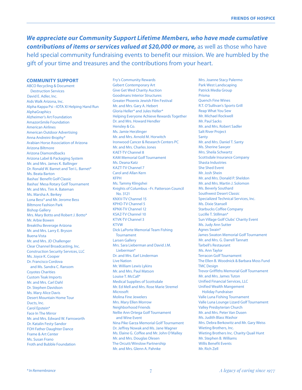*We appreciate our Community Support Lifetime Members, who have made cumulative contributions of items or services valued at \$20,000 or more, as well as those who have* held special community fundraising events to benefit our mission. We are humbled by the gift of your time and treasures and the contributions from your heart.

#### **COMMUNITY SUPPORT**

ABCO Recycling & Document Destruction Services David E. Adler, Inc. Aids Walk Arizona, Inc. Alpha Kappa Psi –IOTA XI Helping Hand Run AlphaGraphics Alzheimer's Art Foundation AmazonSmile Foundation American Airlines American Outdoor Advertising Anna Andreini-Brophy\* Arabian Horse Association of Arizona Arizona Biltmore Arizona Diamondbacks Arizona Label & Packaging System Mr. and Mrs. James K. Ballinger Dr. Ronald W. Barnet and Teri L. Barnet\* Ms. Beata Barton Bashas' Benefit Golf Classic Bashas' Mesa Rotary Golf Tournament Mr. and Mrs. Tim A. Bateman Ms. Marsha A. Berkey Lona Bess\* and Mr. Jerome Bess Biltmore Fashion Park Bishop Gallery Mrs. Mary Botto and Robert J. Botto\* Mr. Arbie Bowen Breakthu Beverage Arizona Mr. and Mrs. Larry E. Bryson Buena Vista Mr. and Mrs. JD Challenger Clear Channel Broadcasting, Inc. Construction Security Services, LLC Ms. Joyce K. Cooper Dr. Francisco Cordova and Ms. Sandra C. Ransom Coyotes Charities Custom Teak Imports Mr. and Mrs. Carl Dahl Dr. Stephen Davidson Ms. Mary Alice Davis Desert Mountain Home Tour Ducts, Inc. Carol Enstein\* Face In The Mirror Mr. and Mrs. Edward W. Farnsworth Dr. Katalin Festy-Sandor FOH Father Daughter Dance Frame & Art Center Ms. Susan Frano Froth and Bubble Foundation

Fry's Community Rewards Gebert Contemporary Art Give Get Wed Charity Auction Goodmans Interior Structures Greater Phoenix Jewish Film Festival Mr. and Mrs. Gary A. Hebert Gloria Heller\* and Jules Heller\* Helping Everyone Achieve Rewards Together Dr. and Mrs. Howard Hendler Hensley & Co. Ms. Jamie Herzlinger Mr. and Mrs. Arnold M. Horwitch Ironwood Cancer & Research Centers PC Mr. and Mrs. Charles Jones KAET-TV Channel 8 KAM Memorial Golf Tournament Ms. Deana Katz KAZT-TV Channel 7 Carol and Allan Kern KFPH Ms. Tammy Klingshei Knights of Columbus –Fr. Patterson Council No. 3121 KNXV-TV Channel 15 KPHO-TV Channel 5 KPNX-TV Channel 12 KSAZ-TV Channel 10 KTVK-TV Channel 3 KTVW Dick LaPorte Memorial Team Fishing Tournament Larsen Gallery Mrs. Sara Lieberman and David J.M. Lieberman\* Dr. and Mrs. Earl Linderman Live Nation Mr. William Lewis Lykins Mr. and Mrs. Paul Matson Louise T. McCall\* Medical Supplies of Scottsdale Mr. Ed Mell and Mrs. Rose Marie Stremel **Microsoft** Molina Fine Jewelers Mrs. Mary Ellen Morrow Neighborhood Friends Nellie Ann Ortega Golf Tournament and Wine Event Nina Pike Garza Memorial Golf Tournament Dr. Jeffrey Nowak and Ms. Jane Wagner Ms. Elaine G. Coffee and Mr. John O'Malley Mr. and Mrs. Douglas Olesen The Orcutt/Winslow Partnership Mr. and Mrs. Glenn A. Pahnke

Mrs. Joanne Stacy Palermo Park West Landscaping Patrick Media Group Prisma Quench Fine Wines R.T. O'Sullivan's Sports Grill Reap What You Sew Mr. Michael Rockwell Mr. Paul Sacks Mr. and Mrs. Robert Sadler Salt River Project **Santy** Mr. and Mrs. Daniel T. Santy Ms. Sherine Sawyer Mrs. Sheila Schwartz Scottsdale Insurance Company Shasta Industries She Shed Event Mr. Josh Shein Mr. and Mrs. Donald P. Sheldon Mr. and Mrs. Martin J. Solomon Ms. Beverly Southard Southwest Desert Classic Specialized Technical Services, Inc. Ms. Dixie Stansell Starbucks Coffee Company Lucille T. Stillman\* Sun Village Golf Clubs' Charity Event Ms. Judy Ann Sutter Agnes Swain\* James Swaton Memorial Golf Tournament Mr. and Mrs. G. Darrell Tannatt Tarbell's Restaurant Ms. Ann Taylor Terracon Golf Tournament The Ellen B. Woodnick & Barbara Moss Fund TMC Design Trevor Griffiths Memorial Golf Tournament Mr. and Mrs. James Tuton Unified Financial Services, LLC Unified Wealth Mangement Holiday Fundraiser Valle Luna Fishing Tournament Valle Luna Lounge Lizard Golf Tournament Valley Presbyterian Church Mr. and Mrs. Peter Van Dusen Ms. Judith Blass Washor Mrs. Debra Berkowitz and Mr. Gary Weiss Wieting Brothers, Inc. Wieting Brothers Inc. Charity Quail Hunt Mr. Stephen B. Williams Willis Benefit Events Mr. Rich Zell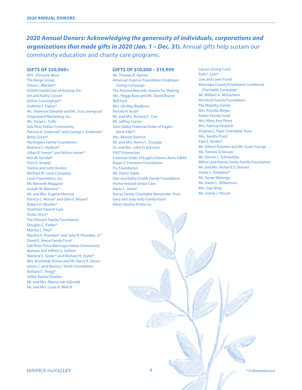# *2020 Annual Donors: Acknowledging the generosity of individuals, corporations and organizations that made gifts in 2020 (Jan. 1 – Dec. 31).* Annual gifts help sustain our community education and charity care programs.

#### **GIFTS OF \$20,000+**

APS –Pinnacle West The Berge Group Diane L. Blackett\* CIGNA HealthCare of Arizona, Inc. Jim and Kathy Coover Arthur Cunningham\* Viollette F. Dailey\* Ms. Shannon Edwards and Ms. Sue Livengood Fingerpaint Marketing, Inc. Ms. Vivian L. Fyffe Gila River Indian Community Patricia A. Grabinski\* and George J. Grabinski\* Betty Green\* Harrington Family Foundation Beatrice C. Hodson\* Lillian B. Ivener\* and Arthur Ivener\* Ann M. Kendall\* Fred A. Knapp\* Vianne and John Kucera Michael W. Louis Company Louis Foundation, Inc. Mr. Kenneth Maggard Joseph W. Maresco\* Mr. and Mrs. Eugene Monroe Patricia L. Moore\* and Glen E. Moore\* Robert D. Mueller\* OnePoint Patient Care Victor Orich\* The Ottosen Family Foundation Douglas C. Parker\* Martha L. Pine\* Martha H. Plowden\* and John R. Plowden, Jr.\* David E. Reese Family Fund Salt River Pima-Maricopa Indian Community Barbara and Jeffrey G. Schlein Marlene E. Seyler\* and Michael H. Seyler\* Mrs. Brunhilde Simon and Mr. Harry R. Simon James C. and Norma I. Smith Foundation Barbara E. Twigg\* Valley Toyota Dealers Mr. and Mrs. Marius van Gijlswijk Mr. and Mrs. Louis A. Weil III

#### **GIFTS OF \$10,000 – \$19,999**

Mr. Thomas R. Ajamie American Express Foundation Employee Giving Campaign The Arizona Republic Season for Sharing Mrs. Peggy Baze and Mr. David Bruner Bell Ford Mrs. Ida May Bradbury Ronald H. Bush\* Mr. and Mrs. Richard C. Carr Mr. Jeffrey Currier Deer Valley Fraternal Order of Eagles Aerie #3871 Mrs. Marnie Dietrich Mr. and Mrs. Henry C. Douglas Dr. and Mrs. John D. Eckstein FAST Enterprises Fraternal Order of Eagles Osborn Aerie #2843 Roger S. Firestone Foundation Fry Foundation Mr. Dieter Gable Dan and Kathy Grubb Family Foundation Home Instead Senior Care Karen L. Jones\* Karrys Family Charitable Remainder Trust Gary and Judy Kelly Family Fund Klein's Kosher Pickle Co.

Larson Giving Fund Ruth I. Linn\* Live and Learn Fund Maricopa County Employees Combined Charitable Campaign Mr. William A. McEachern McIntosh Family Foundation The Molotky Family Mrs. Priscilla Moyer Parker Family Fund Mrs. Mary Ann Perez Mrs. Patricia Petznick Virginia G. Piper Charitable Trust Mrs. Sandra Prasil Paul E. Renfer\* Mr. Gilbert Rotstein and Mr. Scott Youngs Ms. Pamela Schlosser Mr. Dennis L. Schmickley Milton and Harriet Sioles Family Foundation Mr. and Mrs. Richard D. Stewart Vickie L. Tompkins\* Ms. Susan Walenga Ms. Karen L. Williamson Mrs. Gay Wray Ms. Sunny J. Yocum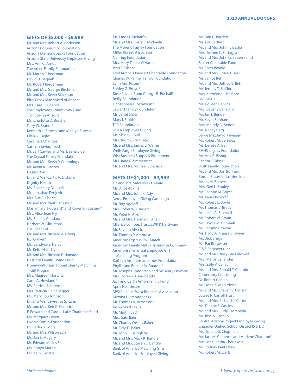#### **GIFTS OF \$5,000 – \$9,999**

Mr. and Mrs. Robert A. Anderson Arizona Community Foundation Arizona Diamondbacks Foundation Arizona State University Employee Giving Mrs. Ann C. Arnot The AtLee Family Foundation Mr. Martin F. Beckman David H. Begeal\* Mr. Robert Biederman Mr. and Mrs. George Birchman Mr. and Mrs. Kevin Blackburn Blue Cross Blue Shield of Arizona Mrs. Carol J. Boehlje The Employees Community Fund of Boeing Arizona Ms. Charlotte D. Borcher Terry W. Brandt\* Kenneth L. Buresh\* and Marilyn Buresh\* Ellen K. Cagle\* Cardinals Charities Carnella Living Trust Mr. Jeff Cawley and Ms. Deena Sigel The Crystal Family Foundation Mr. and Mrs. Kevin P. Cummings Mr. Kevin R. Danzey Desert Ron Dr. and Mrs. Curtis A. Dickman Dignity Health Ms. Rosemary Donnell Mr. Jonathan Drnjevic Mrs. Sue E. Eberle Mr. and Mrs. Paul F. Eckstein Marianne B. Foussard\* and Roger P. Foussard\* Mrs. Alice Jean Fry Ms. Shelley Gandara Herbert W. Glickston\* GM Financial Mr. and Mrs. Richard A. Govig B.J. Gruver\* Ms. Candyce S. Haley Mr. Keith Halliday Mr. and Mrs. Richard P. Hamada Hastings Family Giving Fund Honeywell International Charity Matching Gift Program Mrs. Maureen Horwitz Carol A. Howland\* Ms. Patricia Jaconette Mrs. Patricia Elaine Jagger Ms. Mary Lou Johnson Dr. and Mrs. Lawrence S. Kahn Mr. and Mrs. Ken G. Kendrick F. Edward and Carol J. Lake Charitable Fund Ms. Margaret Laven Lavinia Family Foundation Dr. Carlin S. Long Mr. and Mrs. Wilson Lyle Ms. Jan E. Magary Mr. Edward Malles Sr. Ms. Robyn Martin Ms. Kelly J. Matti

Ms. Linda I. Mehaffey Mr. and Mrs. Garry L. Michaelis The Moreno Family Foundation Miller Russell Associates Nehring Foundation Mrs. Mary Teresa O'Harra Jean E. Olsen\* Fred Runnels Padgett Charitable Foundation Charles W. Palmer Family Foundation Lynn Ann Posen\* Shirley G. Provo\* Rose Puchall\* and George R. Puchall\* Reilly Foundation Dr. Stephen D. Schwabish Seward Family Foundation Ms. Janet Sisler Mary I. Smith\* TPR Foundation USAA Employee Giving Ms. Shirley J. Vail Mrs. Judith S. Wallace Mr. and Mrs. James E. Warne Wells Fargo Employee Giving Wist Business Supply & Equipment Mrs. Jane F. Zimmerman Mr. and Mrs. Michael Zuieback

#### **GIFTS OF \$1,000 – \$4,999**

Dr. and Mrs. Salvatore D. Abate Ms. Alice Adkins Mr. and Mrs. John R. Ady Aetna Employee Giving Campaign Mr. Roy Ageloff Mrs. Roberta D. Aidem Mr. Peter R. Allen Mr. and Mrs. Thomas E. Allen Alliance Lumber, Truss, EWP & Hardware Mr. Silverio Alva Jr. Mr. Thomas P. Ambrose American Express PAC Match American Family Mutual Insurance Company Ameriprise Financial Employee Gift Matching Program Kathryn Ammerman James Foundation Phyllis and Ronald M. Anatole\* Mr. Joseph P. Anderson and Ms. Mary Dewane Mrs. Doreen B. Andriacchi Jack and Carlin Anton Family Fund Apria Healthcare APS/Pinnacle West Retirees' Association Arizona Diamondbacks Mr. Thomas A. Armstrong Arrowhead Lexus Mr. Martin Bach Mrs. Gabi Baer Mr. Charles Wesley Baker Mr. Dale D. Baker Mr. John C. Balogh Sr. Mr. and Mrs. Mack K. Bandler Mr. and Mrs. Steven E. Bandler Bank of America Matching Gifts Bank of America Employee Giving

Mr. Dan C. Bartlett Ms. Lila Bartlett Mr. and Mrs. Johnny Basha Mrs. Jeanne L. Battaglia Mr. and Mrs. John G. Bauernfeind Baxter Charitable Fund Mr. Scott Beadle Mr. and Mrs. Bruce J. Beal Ms. Janice Behr Mr. and Mrs. Jeffrey E. Behr Mr. Jeremy T. Belfiore Mrs. Katherine J. Belfiore Bell Lexus Ms. Colleen Belvins Mrs. Beverly Benaglio Mr. Jay T. Bender Mr. Kevin Benham Mrs. Melody D. Benoit Ms. Nancy Berg Berge Mazda-Volkswagen Mr. Robert M. Berrelez Ms. Denise A. Bein BHHS Legacy Foundation Mr. Max R. Bishop Sandra C. Bloss\* Bluth Family Foundation Mr. and Mrs. Jon Bohnert Border States Industries, Inc. Mr. Ira M. Bossert Mrs. Geri L. Bouley Ms. Joanne M. Boyes Ms. Laura Boykoff Mr. Robert C. Boyle Mr. Thomas L. Brady Ms. Janie A. Braswell Mr. Robert W. Braun Mrs. Joyce M. Brimhall Mr. Lansing Browne Ms. Holly A. Krause Browner Mr. Dick Bruga Ms. Pat Burgesser C & S Engineers, Inc. Mr. and Mrs. Jerry Lee Caldwell Mrs. Melba Callender Mrs. Sally V. Calles Mr. and Mrs. Ronald T. Cambio Canterbury Consulting Dr. Robert Caplan Mr. Donald W. Cardone Mr. and Mrs. Steven V. Carlson Louise R. Carroll Trust Mr. and Mrs. Richard L. Carter Ms. Dianne F. Cassidy Mr. and Mrs. Rudy Castaneda Mr. Jose A. Castillo Central Arizona Project Employee Giving Chandler Unified School District IS & DO Mr. Donald G. Chapman Mr. Jack M. Chareton and Marlene Chareton\* Mrs. Manjulatha Cherlakola Mr. Rodney Paul Chew Mr. Robert M. Clark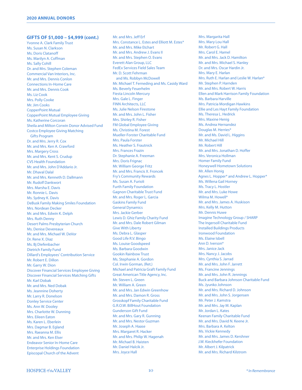#### **GIFTS OF \$1,000 – \$4,999 (cont.)**

Yvonne A. Clark Family Trust Ms. Susan N. Clarkson Ms. Doris Clatanoff Ms. Marilyn A. Coffman Ms. Sally Cohill Dr. and Mrs. Stephen Coleman Commercial Van Interiors, Inc. Mr. and Mrs. Dennis Conlon Connections In-Home Care Mr. and Mrs. Dennis Cook Ms. Liz Cook Mrs. Polly Cooke Mr. Jim Cooks CopperPoint Mutual CopperPoint Mutual Employee Giving Ms. Katherine Corcoran Sheila and Milton Corwin Donor Advised Fund Costco Employee Giving Matching Gifts Program Dr. and Mrs. Jerry R. Cox Mr. and Mrs. Ken A. Crawford Mrs. Margery Cross Mr. and Mrs. Kent S. Crudup CVS Health Foundation Mr. and Mrs. John D'Addario Jr. Mr. Dhaval Dalal Mr. and Mrs. Kenneth D. Dallmann Mr. Rudolf Dankwort Mrs. Marsha E. Davis Mr. Ronnie L. Davis Ms. Sydney K. Davis DeBusk Family Making Smiles Foundation Mrs. Nordean Decker Mr. and Mrs. Edwin K. Delph Mrs. Ruth Denny Desert Palms Presbyterian Church Ms. Denise Devereaux Mr. and Mrs. Michael W. DeVor Dr. Rene X. Diaz Ms. Bj Diefenbacher Dietrich Family Fund Dillard's Employees' Contribution Service Mr. Robert E. Dillon Mr. Garry W. Dion Discover Financial Services Employee Giving Discover Financial Services Matching Gifts Mr. Karl Dobak Mr. and Mrs. Ned Dobak Ms. Jeannine Doherty Mr. Larry R. Donelson Donley Service Center Ms. Ann W. Dooley Mrs. Charlotte W. Dunning Mrs. Eileen Eaton Ms. Karen L. Eberlein Mrs. Dagmar B. Egland Mrs. Raeanna M. Ellis Mr. and Mrs. Ken Elser Endeavor Senior In-Home Care Enterprise Holdings Foundation Episcopal Church of the Advent

Mr. and Mrs. Jeff Erf Mrs. Constance L. Estes and Elliott M. Estes\* Mr. and Mrs. Mike Etchart Mr. and Mrs. Andrew J. Evans II Mr. and Mrs. Stephen O. Evans Everett Alan Group, LLC FedEx Services Field Sales Team Mr. D. Scott Fehrman and Ms. Robbyn McDowell Mr. Michael T. Ferneding and Ms. Casidy Ward Ms. Beverly Feuerhelm Fiesta Lincoln Mercury Mrs. Gale L. Finger FINN Architects, LLC Ms. Julie Nelson Firestone Mr. and Mrs. John L. Fisher Mrs. Shirley R. Fisher FM Global Employee Giving Ms. Christina M. Forest Mueller-Forster Charitable Fund Mrs. Paula Forster Ms. Heather S. Frautnick Mrs. Frances Frazin Dr. Stephanie A. Freeman Mrs. Doris Frignac Mr. William George Fritz Mr. and Mrs. Francis X. Froncek Fry's Community Rewards Ms. Susan A. Furioli Furth Family Foundation Gagnon Charitable Trust Fund Mr. and Mrs. Roger L. Garcia Gaskins Family Fund General Dynamics Mrs. Jackie Gerber Lewis D. Ghiz Family Charity Fund Mr. and Mrs. Dale Robert Gilman Give With Liberty Ms. Debra L. Glasper Good Life R.V. Bingo Ms. Louise Goodspeed Ms. Barbara Goodwin Gookin Rainbow Trust Ms. Stephanie A. Gordon Col. Irwin Gorman, (Ret.) Michael and Patricia Graft Family Fund Great American Title Agency, Inc. Mr. Steven L. Green Mr. William A. Green Mr. and Mrs. Jan Edwin Greenhow Mr. and Mrs. Damon R. Gross Grosskopf Family Charitable Fund G.R.O.W. BillHout Foundation Gunderson Gift Fund Mr. and Mrs. Gary R. Gunning Mr. and Mrs. Nestor Guzman Mr. Joseph A. Haase Mrs. Margaret R. Hacker Mr. and Mrs. Philip W. Hagenah Mr. Michael B. Haisten Mr. Daniel Halcik Jr. Mrs. Joyce Hall

Mrs. Margarita Hall Mrs. Mary Lou Hall Mr. Robert G. Hall Mrs. Carol E. Hamel Mr. and Mrs. Jack D. Hamilton Mr. and Mrs. Michael S. Hanley Dr. and Mrs. Oscar Hardin Jr. Mrs. Mary E. Harlan Mrs. Ruth E. Harlan and Leslie W. Harlan\* Mr. Stephen P. Harnden Mr. and Mrs. Robert W. Harris Ellen and Mark Harrison Family Foundation Ms. Barbara Harville Mrs. Patricia Mordigan Hawkins Ellie and Les Hayt Family Foundation Ms. Theresa L. Hedrick Mrs. Maxine Henig Ms. Andrea Hernandez Douglas M. Herries\* Mr. and Ms. David L. Higgins Mr. Michael Hill Mr. Robert Hill Mr. and Mrs. Jonathan D. Hoffer Mrs. Veronica Hollman Homer Family Fund Honeywell Hometown Solutions Mr. Allen Honig Agnes L. Hopper\* and Andrew L. Hopper\* Ms. Willena Gail Horney Ms. Tracy L. Hostler Mr. and Mrs. Luke Howe Wilma M. Howell\* Mr. and Mrs. James A. Huskison Mrs. Kelly M. Hutton Mr. Dennis Huwe Imagine Technology Group / SHARP The Ingersoll Charitable Fund Installed Buildings Products Ironwood Foundation Ms. Elaine Isbell Ann D. Iverson\* Mrs. Janice Jack Mrs. Nancy J. Jacobs Mrs. Cynthia S. Jarrad Mr. and Mrs. John F. Jarrett Ms. Francine Jennings Mr. and Mrs. John R. Jennings Buck and Barbara Johnson Charitable Fund Ms. Jyunko Johnson Mr. and Mrs. Richard D. Johnson Mr. and Mrs. John S. Jorgensen Mr. Peter J. Kamstra Mr. and Mrs. Jay M. Kaplan Mr. Jordan L. Kates Keenan Family Charitable Fund Mr. and Mrs. David N. Keene Jr. Mrs. Barbara A. Kelton Ms. Vickie Kennedy Mr. and Mrs. James D. Kershner J.W. Kieckhefer Foundation Mr. Albert J. Kilpatrick Mr. and Mrs. Richard Kilstrom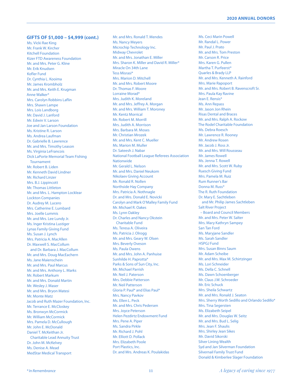#### **GIFTS OF \$1,000 – \$4,999 (cont.)**

Ms. Vicki Rae King Mr. Frank W. Kircher Kitchell Foundation Kizer FTD Awareness Foundation Mr. and Mrs. Peter G. Kline Mr. Erik Knudsen Kofler Fund Dr. Cynthia L. Kooima Mr. James Krombholz Mr. and Mrs. Keith E. Krugman Anne Walker\* Mrs. Carolyn Robbins Laflin Mrs. Shawn Lampe Mrs. Lois Landborg Mr. David J. Lanford Mr. Edwin V. Larson Joe and Jan Larson Foundation Ms. Kristine R. Larson Ms. Andrea Laufman Dr. Gabrielle B. Lawrence Mr. and Mrs. Timothy Leason Ms. Virginia LeFrancois Dick LaPorte Memorial Team Fishing Tournament Mr. Robert B. Liden Mr. Kenneth David Lindner Mr. Richard Linzer Mrs. B.J. Lippincott Mr. Thomas Littleton Mr. and Mrs. L. Hampton Locklear Lockton Companies Dr. Audrey M. Lucero Mrs. Catherine E. Lumbard Mrs. Joelle Lummis Mr. and Mrs. Lee Lundy Jr. Ms. Inger Kristina Lustiger Lynas Family Giving Fund Ms. Susan J. Lynch Mrs. Patricia A. MacAllen Dr. Maxwell S. MacCollum and Dr. Barbara J. MacCollum Mr. and Mrs. Doug MacEachern Ms. Jane Maienschein Mr. and Mrs. Paul Marcus Mr. and Mrs. Anthony L. Marks Mr. Robert Markum Mr. and Mrs. Donald Martin Mr. Wesley J. Maser Mr. and Mrs. Bryon Matesi Mr. Monte Matz Jacob and Ruth Mazer Foundation, Inc. Mr. Terrance E. McCloskey Ms. Bronwyn McCormick Mr. William McCormick Mrs. Pamela D. McCullough Mr. John E. McDonald Daniel T. McKeithan Jr. Charitable Lead Annuity Trust Dr. John M. McKelvey Ms. Denise A. Mead MedStar Medical Transport

Mr. and Mrs. Ronald T. Mendes Ms. Nancy Meyers Microchip Technology Inc. Midway Chevrolet Mr. and Mrs. Jonathan E. Miller Mrs. Sharon K. Miller and David R. Miller\* Miracle On 34th Lane Tess Misrasi\* Mrs. Marion D. Mitchell Mr. and Mrs. Robert Moore Dr. Thomas F. Moore Lorraine Morad\* Mrs. Judith K. Moreland Mr. and Mrs. Jeffrey A. Morgan Mr. and Mrs. William T. Moroney Mr. Kentz Morrical Mr. Robert M. Morrill Mrs. Judith A. Morrison Mrs. Barbara M. Moses Mr. Christian Mrozek Mr. and Mrs. Kent C. Mueller Ms. Marion M. Muller Dr. Sateesh J. Nabar National Football League Referees Association Nationwide Mr. Gerald L. Nelson Mr. and Mrs. Daniel Neukom Nikolaev Giving Account Mr. Ronald R. Nollen Northside Hay Company Mrs. Patricia A. Nothnagle Dr. and Mrs. Donald E. Novicki Carolyn and Mark O'Malley Family Fund Mr. Michael R. Oakes Ms. Lynn Oakley Dr. Charles and Nancy Okstein Charitable Fund Ms. Teresa A. Oliveira Ms. Patricia J. Olrogg Mr. and Mrs. Geary W. Olsen Mrs. Beverly Oveson Ms. Paula Owens Mr. and Mrs. John A. Panhuise Sunhilde H. Paprotta\* Parks & Sons of Sun City, Inc. Mr. Michael Parrish Mr. Neil J. Paterson Mrs. Debbie Patterson Mr. Neil Patterson Gloria P. Paul\* and Elias Paul\* Mrs. Nancy Pavkov Ms. Ellen L. Peck Mr. and Mrs. Chris Pedersen Mrs. Joyce Peterson Helen Pezdirtz Endowment Fund Mrs. Pene A. Piper Ms. Sandra Pirkle Mr. Richard J. Pohl Mr. Elliott D. Pollack Mrs. Elizabeth Poole Port Plastics, Inc. Dr. and Mrs. Andreas K. Poulakidas

Ms. Ceci Marin Powell Mr. Randal L. Power Mr. Paul J. Prato Mr. and Mrs. Tom Preston Mr. Carson R. Price Mrs. Karen G. Pullen Martha T. Purfeerst\* Quarles & Brady LLP Mr. and Mrs. Kenneth A. Rainford Mrs. Marie Rapoport Mr. and Mrs. Robert B. Ravenscroft Sr. Mrs. Paula Kay Ravine Jean E. Rensis\* Ms. Ann Repass Mr. Jason Jon Rhein Risas Dental and Braces Mr. and Mrs. Ralph A. Rockow The Rodel Charitable Foundation Ms. Debra Roesch Mr. Lawrence R. Rooney Mr. Andrew Rosen Mr. Jacob J. Ross Jr. Mr. and Mrs. Will Rousseau Mr. James Rowell Ms. Jenna T. Rowell Mr. and Mrs. Scott W. Ruby Ruesch Giving Fund Mrs. Pamela M. Ruiz Rum Runner's Bar Donna M. Russ\* The R. Ruth Foundation Dr. Mary E. Sachtleben and Mr. Philip James Sachtleben Salt River Project – Board and Council Members Mr. and Mrs. Peter W. Salter Mrs. Mary Kathryn Sampey San Tan Ford Ms. Maryjane Sandler Ms. Sarah Sandler HSPGJ Fund Mrs. Susan Binns Saum Mr. Adam Scheibe Mr. and Mrs. Max M. Schirtzinger Ms. Lori Schneider Ms. Della C. Schnell Ms. Dawn Schoenberger Mr. Claus J.W. Schroeder Mr. Eric Schuck Mrs. Sheila Schwartz Mr. and Mrs. Ronald J. Seaton Mrs. Sherry Worth Sedillo and Orlando Sedillo\* Mrs. Tina Segersten Ms. Elizabeth Seipel Mr. and Mrs. Douglas W. Seitz Mr. and Mrs. Bud L. Selig Mrs. Jean F. Shaulis Mrs. Shirley Jean Sikes Mr. David Sikorski Silver Lining Wealth Syd and Jan Silverman Foundation Silvernail Family Trust Fund Donald & Kimberlee Slager Foundation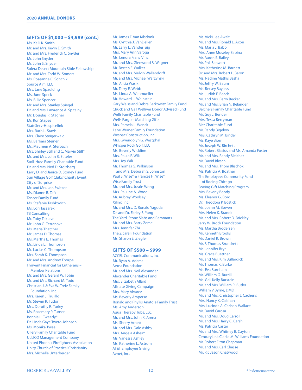#### **GIFTS OF \$1,000 – \$4,999 (cont.)**

Ms. Kelli K. Smith Mr. and Mrs. Kevin E. Smith Mr. and Mrs. Frederick C. Snyder Mr. John Snyder Mr. John S. Snyder Solera Desert Mountain Bible Fellowship Mr. and Mrs. Todd W. Somers Ms. Roseanne C. Sonchik Source Aim, LLC Mrs. Jane Spaulding Ms. June Speck Ms. Billie Spencer Mr. and Mrs. Stanley Spiegel Dr. and Mrs. Lawrence A. Spitalny Mr. Douglas R. Stagner Mr. Ron Stapes StateServ-Hospicelink Mrs. Ruth L. Stavis Mrs. Claire Steigerwald Ms. Barbara Steiner Ms. Maureen A. Sterbach Mrs. Shirley Still and C. Marvin Still\* Mr. and Mrs. John B. Stiteler Stoll-Huss Farmily Charitable Fund Dr. and Mrs. Ned D. Stolzberg Larry D. and Janice D. Stoney Fund Sun Village Golf Clubs' Charity Event City of Surprise Mr. and Mrs. Jon Switzer Ms. Dianne B. Taft Tancer Family Fund Ms. Stefanie Tashkovich Ms. Lori Taszarek TB Consulting Mr. Toby Tekulve Mr. John G. Terranova Ms. Maria Thatcher Mr. James D. Thomas Ms. Martha E. Thomas Ms. Linda L. Thompson Mr. Lucius C. Thompson Mrs. Sarah K. Thompson Mr. and Mrs. Andrew Thorpe Thrivent Financial for Lutherans – Member Relations Mr. and Mrs. Gerard W. Tobin Mr. and Mrs. Richard M. Todd Christian J. & Eva W. Trefz Family Foundation, Inc. Mrs. Karen J. Trujillo Mr. Steven R. Tudor Mrs. Dorothy R. Turley Ms. Rosemary P. Turner Bonnie L. Tweedy\* Dr. Linda Gaye Tweto-Johnson Ms. Monika Tyree Ullery Family Charitable Fund ULLICO Management Company United Phoenix Firefighters Association Unity Church of Practical Christianity Mrs. Michelle Unterberger

Mr. James F. Van Kilsdonk Ms. Cynthia J. VanDellen Mr. Larry L. VanderTuig Mrs. Mary Ann Varoga Ms. Lenora Franc Vinci Mr. and Mrs. Glenwood B. Wagner Mr. Berten F. Walker Mr. and Mrs. Melvin Wallendorff Mr. and Mrs. Michael Warzynski Ms. Alicia Wasik Mr. Terry E. Webb Ms. Linda A. Wehmueller Mr. Howard L. Weinstein Gary Weiss and Debra Berkowitz Family Fund Chuck and Gail Welliver Donor Advised Fund Wells Family Charitable Fund Wells Fargo – Matching Gifts Mrs. Pamela L. Wendt Lane Werner Family Foundation Wespac Construction, Inc. Mrs. Gwendolyn G. Westphal Whisper Rock Golf, LLC Ms. Beverly Wickline Mrs. Paula F. Wik Mrs. Joy Wili Mr. Thomas G. Wilkinson and Mrs. Deborah S. Johnston Paul S. Wise\* & Frances H. Wise\* Wise Family Trust Mr. and Mrs. Justin Wong Mrs. Pauline A. Wood Mr. Aubrey Woolsey Xilinx, Inc. Mr. and Mrs. D. Ronald Yagoda Dr. and Dr. Farley E. Yang The Yard, Stone Slabs and Remnants Mr. and Mrs. Barry Zemel Mrs. Jennifer Zhi The Zicarelli Foundation Ms. Sharon E. Ziegler

#### **GIFTS OF \$500 – \$999**

ACCEL Communications, Inc Mr. Ryan A. Adams Aetna Foundation Mr. and Mrs. Neil Alexander Alexander Charitable Fund Mrs. Elizabeth Allard Allstate Giving Campaign Mrs. Mary Alvarez Ms. Beverly Amperse Ronald and Phyllis Anatole Family Trust Ms. Amy Anderson Aqua Therapy Tubs, LLC Mr. and Mrs. John R. Arena Ms. Sherry Arnett Mr. and Mrs. Dale Ashby Mrs. Angela Asheim Ms. Vanessa Ashley Ms. Katherine L. Astrom AT&T Employee Giving Avnet, Inc.

Ms. Vicki Lee Awalt Mr. and Mrs. Ronald L. Axon Ms. Marla J. Babb Mrs. Anne Moseley Babina Mr. Aaron S. Bailey Mr. Phil Banwart Mrs. Katherine M. Barnett Dr. and Mrs. Robert L. Baron Ms. Nadine Mathis Basha Mr. Jeffry W. Baum Ms. Betsey Bayless Ms. Judith F. Beach Mr. and Mrs. Perry Becker Mr. and Mrs. Brian N. Belanger Belchers Family Charitable Fund Mr. Guy J. Bender Mrs. Tessa Berryman Bier Charitable Fund Mr. Randy Bigelow Mrs. Cathryn M. Binder Ms. Kaye Biorn Mr. Joseph W. Birchett Mr. Robert Blasius and Ms. Amanda Foster Mr. and Mrs. Randy Bleicher Mr. David Blesch Mr. and Mrs. Thom Blischok Ms. Patricia A. Boatner The Employees Community Fund of Boeing Chicago Boeing Gift Matching Program Mrs. Beverly Boody Ms. Eleanor G. Borg Dr. Theodora P. Bostick Ms. Joann M. Bowen Mrs. Helen K. Brandt Mr. and Mrs. Robert D. Brickley Jerry W. Brock Foundation Ms. Martha Brodersen Mr. Kenneth Brooks Mr. Daniel R. Brown Mr. F. Thomas Brundrett Ms. Jennifer Brya Ms. Grace Buettner Mr. and Mrs. Kim Bullerdick Mr. Thomas K. Burke Ms. Eva Burnham Mr. William G. Burrill Ms. Gail Kelly Burstein Mr. and Mrs. William R. Butler William V Byrne, DMD Mr. and Mrs. Christopher J. Cacheris Mrs. Nancy K. Calahan Mrs. Lucinda A. Carlson-Wallace Mr. David Carosa Mr. and Mrs. Doug Carroll Mr. and Mrs. Harry C. Carsh Ms. Patricia Carter Mr. and Mrs. Whitney B. Cayton CenturyLink Clarke M. Williams Foundation Mr. Robert Elton Chapman Mr. and Mrs. Carl Chasse Mr. Ric Jason Chatwood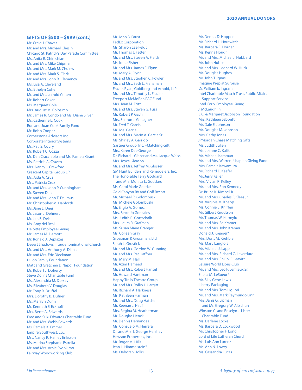#### **GIFTS OF \$500 – \$999 (cont.)**

Mr. Craig J. Chavet Mr. and Mrs. Michael Chesin Chicago St. Patrick's Day Parade Committee Ms. Anita R. Chinichian Mr. and Mrs. Mike Chipman Mr. and Mrs. Mark M. Chulew Mr. and Mrs. Mark S. Clark Mr. and Mrs. John R. Clemency Ms. Lisa A. Cleveland Ms. Ethelyn Cohen Mr. and Mrs. Jerrold Cohen Mr. Robert Coker Ms. Margaret Cole Mrs. August M. Colosimo Mr. James R. Condo and Ms. Diane Silver Ms. Catherine L. Cook Ron and Joan Cook Family Fund Mr. Bobb Cooper Cornerstone Advisors Inc. Corporate Interior Systems Ms. Pati S. Coury Mr. Robert C. Cozza Mr. Dan Cracchiolo and Ms. Pamela Grant Ms. Patricia A. Craven Mrs. Nancy J. Crawford Crescent Capital Group LP Ms. Aida A. Cruz Mrs. Patricia Cruz Mr. and Mrs. John P. Cunningham Mr. Steven Dahl Mr. and Mrs. John T. Dallmus Mr. Christopher M. Danforth Ms. Jane L. Deer Mr. Jason J. Dehnert Mr. Jim B. Deis Ms. Amy del Real Deloitte Employee Giving Mr. James M. Demott Mr. Ronald J. Deplazes Desert Shadows Interdenominational Church Mr. and Mrs. Anthony A. Diana Mr. and Mrs. Eric Dieckman Dillon Family Foundation Matt and Gretchen DiNapoli Foundation Mr. Robert J. Doherty Steve Dolins Charitable Fund Ms. Alexandria M. Dorsey Ms. Elizabeth V. Douglas Mr. Tony R. Druffel Mrs. Dorothy B. Dufner Ms. Marilyn Dunn Mr. Kenneth F. Eckhoff Mrs. Bette A. Edwards Fred and Suki Edwards Charitable Fund Mr. and Mrs. Webb Edwards Ms. Pamela K. Emmer Empire Southwest, LLC Mrs. Nancy R. Hanley Eriksson Ms. Marina Stephanie Estrella Mr. and Mrs. Arnie Evdokimo Fairway Woodworking Club

Mr. John B. Faust FedEx Corporation Ms. Sharon Lee Feldt Mr. Thomas J. Fetter Mr. and Mrs. Steven A. Fields Ms. Irene Fisher Mr. and Mrs. James E. Flynn Ms. Mary A. Flynn Mr. and Mrs. Stephen C. Fowler Mr. and Mrs. Seth L. Franzman Frazer, Ryan, Goldberg and Arnold, LLP Mr. and Mrs. Timothy L. Frazier Freeport McMoRan PAC Fund Mrs. Jean M. Fritz Mr. and Mrs. Steven G. Fuss Mr. Robert P. Gach Mrs. Sharon J. Gallagher Mr. Fred T. Garcia Mr. Joel Garcia Mr. and Mrs. Mario A. Garcia Sr. Ms. Shirley A. Garrido Gartner Group, Inc. –Matching Gift Mrs. Karen Dee George Dr. Richard I. Glazer and Ms. Jacque Weiss Mrs. Joyce Gleason Mr. and Mrs. Jeffrey M. Glosser GM Hunt Builders and Remodelers, Inc. The Honorable Terry Goddard and Mrs. Monica L. Goddard Ms. Carol Marie Goerke Gold Canyon RV and Golf Resort Mr. Michael R. Golombuski Ms. Michele Golombuski Mr. Eligio A. Gomez Mrs. Bette Jo Gonzales Ms. Judith R. Gottschalk Mrs. Laura R. Grafman Ms. Susan Marie Granger Ms. Colleen Gray Grossman & Grossman, Ltd Sarah L. Grostick Mr. and Mrs. Gordon W. Gunning Mr. and Mrs. Pat Haffner Ms. Mary M. Hall Mr. Azim Hameed Mr. and Mrs. Robert Hansel Mr. Howard Hantman Happy Trails Theatre Group Mr. and Mrs. Rollin J. Hargitt Mr. Richard A. Harkness Ms. Kathleen Harman Mr. and Mrs. Doug Hatcher Mr. Keenan J. Hauf Mrs. Regina M. Heatherman Mr. Douglas Henck Mr. Dennis Hernandez Ms. Consuelo M. Herrera Dr. and Mrs. L George Hershey Hewson Properties, Inc. Mr. Roger M. Hills Jean L. Himmelstein\* Ms. Deborah Hollis

Mr. Dennis D. Hopper Mr. Richard L. Horewitch Ms. Barbara E. Horner Ms. Kenna Hough Mr. and Mrs. Michael J. Hubbard Mr. John Hubbs Mr. and Mrs. Leonard W. Huck Mr. Douglas Hughes Mr. John T. Ignas Imagine Prep at Surprise Dr. William E. Ingram Intel Charitable Match Trust, Public Affairs Support Service Intel Corp. Employee Giving J. McLaughlin L.C. & Margaret Jacobson Foundation Mrs. Kathleen Jebbett Mr. Dale F. Johnson Mr. Douglas M. Johnson Mrs. Cathy Jones JPMorgan Chase Matching Gifts Ms. Judith Julien Ms. Joanne C. Kalik Mr. Michael Kamman Mr. and Mrs. Warren J. Kaplan Giving Fund Mrs. Pamela Kawamura Mr. Richard E. Keefer Mr. Jerry Keller Mrs. Vivian R. Kelley Mr. and Mrs. Ron Kennedy Dr. Bruce K. Kimbel Jr. Mr. and Mrs. Charles F. Klees Jr. Ms. Virginia M. Knapp Ms. Connie E. Kniffen Mr. Gilbert Knudtson Mr. Thomas W. Kormylo Mr. and Mrs. Ed Kramer Mr. and Mrs. John Kramer Donald J. Kreager\* Mrs. Doris M. Krehbiel Ms. Mary Langlois Mr. Michael J. Lapp Mr. and Mrs. Richard C. Laverdure Mr. and Mrs. Philip C. Leavitt Leisure World Lions Club Mr. and Mrs. Leo F. Lemieux Sr. Sheila M. LeSueur\* Mr. Billy Gene Lewis Liberty Packaging Mr. and Mrs. Tom Liguori Mr. and Mrs. Mark Reymundo Linn Mrs. Janis G. Lipman and Mr. Gregory W. Altschuh Winston C. and Roselyn J. Lister Charitable Fund Ms. Darlene Locke Ms. Barbara D. Lockwood Mr. Christopher F. Long Lord of Life Lutheran Church Ms. Lois Ann Lorenz Ms. Ann N. Lowry Ms. Cassandra Lucas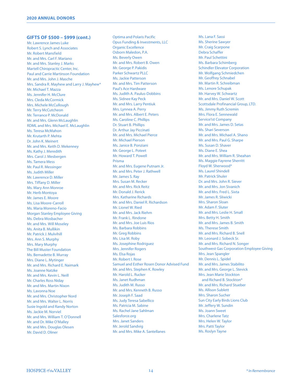#### **GIFTS OF \$500 – \$999 (cont.)**

Mr. Lawrence James Luke Robert S. Lynch and Associates Mr. Robert Mansfield Mr. and Mrs. Carl F. Mariano Mr. and Mrs. Stanley J. Marks Martell Chiropractic Center, Inc. Paul and Carrie Martinson Foundation Mr. and Mrs. John J. Masche Mrs. Sandra R. Mayhew and Larry J. Mayhew\* Mr. Michael T. Mazza Ms. Jennifer H. McClure Mrs. Cleda McCormick Mrs. Michele McCullough Mr. Terry McCutcheon Mr. Terrance P. McDonald Mr. and Mrs. Glenn McLaughlin RDML and Mrs. Michael E. McLaughlin Ms. Teresa McMahon Mr. Krutarth P. Mehta Dr. John K. Meinert Mr. and Mrs. Keith D. Mekenney Ms. Kathy J. Meredith Mrs. Carol J. Mesbergen Ms. Tamera Mess Mr. Paul R. Messinger Ms. Judith Miller Mr. Lawrence D. Miller Mrs. Tiffany D. Miller Ms. Mary Ann Monroe Mr. Herb Montoya Mr. James E. Moore Ms. Lisa Moore-Carroll Ms. Maria Moreno-Facio Morgan Stanley Employee Giving Ms. Debra Mosbacher Mr. and Mrs. Will Moseley Ms. Anita B. Mullikin Mr. Patrick J. Mulvihill Mrs. Ann S. Murphy Mrs. Mary Murphy The Bill Muster Foundation Ms. Bernadette B. Murray Mrs. Diane L. Mytinger Mr. and Mrs. Richard E. Naimark Ms. Joanne Natzke Mr. and Mrs. Kevin L. Neill Mr. Charles Ross Niday Mr. and Mrs. Martin Nixon Ms. Lavonna Noe Mr. and Mrs. Christopher Nord Mr. and Mrs. Walter L. Norris Susie Ingold and Randy Norton Ms. Jackie M. Norviel Mr. and Mrs. William T. O'Donnell Mr. and Dr. Mike O'Malley Mr. and Mrs. Douglas Olesen Mr. David D. Oliner

Optima and Polaris Pacific Opus Funding & Investments, LLC Organic Excellence Osborn Maledon, P.A. Ms. Beverly Owen Mr. and Mrs. Robert B. Owen Mr. George P. Pakidis Parker Schwartz PLLC Ms. Jackie Patterson Mr. and Mrs. Tim Patterson Paul's Ace Hardware Ms. Judith A. Paulus-Dobbins Ms. Sidnee Kay Peck Mr. and Mrs. Larry Pentiuk Mrs. Lynnea A. Perry Mr. and Mrs. Albert E. Peters Ms. Caroline C. Phillips Dr. Stuart B. Phillips Dr. Arthur Jay Piccinati Mr. and Mrs. Michael Pierce Mr. Michael Pierson Ms. Janice B. Ponziani Mr. George L. Poteet Mr. Howard T. Powell Prisma Mr. and Mrs. Eugene Putnam Jr. Mr. and Mrs. Peter J. Rathwell Mr. James S. Ray Mrs. Susan M. Recker Mr. and Mrs. Rick Reitz Mr. Donald J. Rerick Mrs. Katharine Richards Mr. and Mrs. Daniel R. Richardson Mr. Lionel W. Ried Mr. and Mrs. Jack Riehm Mr. Frank L. Rindone Mr. and Mrs. Joe Luis Rios Ms. Barbara Robbins Mr. Greg Robbins Ms. Lisa M. Roby Ms. Josephine Rodriguez Mrs. Jennifer Rogers Ms. Elsa Rojas Mr. Robert I. Rose Samuel and Esther Rosen Donor Advised Fund Mr. and Mrs. Stephen K. Rowley Mr. Harold L. Rucker Ms. Janet Rudhman Ms. Judith M. Russo Mr. and Mrs. Kenneth B. Russo Mr. Joseph F. Saad Ms. Judy Teresa Sabellico Ms. Patricia M. Sabine Ms. Rachel Jane Sahlman Salesforce.org Mrs. Janet Sanders Mr. Jerold Sandvig Mr. and Mrs. Mike A. Santellanes

Ms. Lana F. Sassi Ms. Sherine Sawyer Mr. Craig Scarpone Debra Schaffer Mr. Paul Schettini Ms. Barbara Schimberg Schindler Elevator Corporation Mr. Wolfgang Schmiedchen Mr. Geoffrey Schnabel Mr. Martin R. Schreibman Ms. Lenore Schupak Mr. Harvey W. Schwartz Mr. and Mrs. Daniel W. Scott Scottsdale Profinancial Group, LTD. Ms. Jimmy Ruth Scremin Mrs. Flora E. Sennewald Service1st Company Mr. and Mrs. James D. Setas Ms. Shari Severson Mr. and Mrs. Michael A. Shano Mr. and Mrs. Paul G. Sharpe Ms. Susan D. Shaver Ms. Diane E. Shea Mr. and Mrs. William R. Sheahan Ms. Maggie Fayrene Sherritt Floyd W. Sherwood\* Ms. Laurel Shindell Mr. Patrick Shuler Dr. and Mrs. John R. Siever Mr. and Mrs. Jon Sivanich Mr. and Mrs. Fred L. Sixta Mr. James R. Sliwicki Mrs. Sharon Sloan Mr. Adam F. Sluter Mr. and Mrs. Leslie H. Small Mrs. Betty H. Smith Mr. and Mrs. James B. Smith Ms. Therese Smith Mr. and Mrs. Richard B. Snell Mr. Leonard J. Sobeck Sr. Mr. and Mrs. Richard N. Songer Southwest Gas Corporation Employee Giving Mrs. Jean Spangler Mr. Dennis L. Spidel Mr. and Mrs. James Stabilito Mr. and Mrs. George L. Stevick Mrs. Jean Marie Stockton and Richard B. Stockton\* Mr. and Mrs. Richard Stueber Ms. Allison Sublett Mrs. Sharon Sucher Sun City Early Birds Lions Club Mr. Jeffery W. Sundin Ms. Joann Sweet Mrs. Charlene Tatz Mrs. Helen W. Taylor Mrs. Patti Taylor Ms. Roslyn Tayne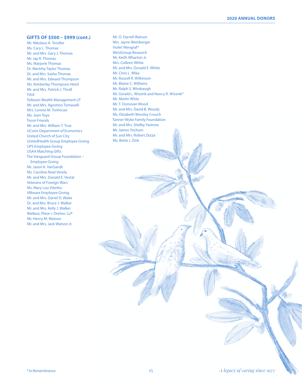#### **2020 ANNUAL DONORS**

#### **GIFTS OF \$500 – \$999 (cont.)**

Mr. Nikolaus A. Tendler Ms. Cary L. Thomas Mr. and Mrs. Gary J. Thomas Mr. Jay R. Thomas Ms. Marjorie Thomas Dr. Martrha Taylor Thomas Dr. and Mrs. Sasha Thomas Mr. and Mrs. Edward Thompson Ms. Kimberley Thompson-Heinl Mr. and Mrs. Patrick J. Thrall TIAA Tolleson Wealth Management LP Mr. and Mrs. Agostino Tomaselli Mrs. Lorene M. Torlincasi Ms. Jean Toye Troon Friends Mr. and Mrs. William T. True UConn Department of Economics United Church of Sun City UnitedHealth Group Employee Giving UPS Employee Giving USAA Matching Gifts The Vanguard Group Foundation – Employee Giving Mr. Jason K. VanSandt Ms. Caroline Noel Verela Mr. and Mrs. Donald E. Vestal Veterans of Foreign Wars Ms. Mary Lou Viterbo VMware Employee Giving Mr. and Mrs. Darrel D. Waite Dr. and Mrs. Bruce J. Walker Mr. and Mrs. Kelly J. Walker Wallace, Plese + Dreher, LLP Mr. Henry M. Watson Mr. and Mrs. Jack Watson Jr.

Mr. O. Darrell Watson Mrs. Jayne Weinberger Violet Wengraf\* WestGroup Research Mr. Keith Wharton Jr. Mrs. Colleen White Mr. and Mrs. Donald E. White Mr. Chris L. Wika Mr. Russell R. Wilkinson Mr. Blaine C. Williams Mr. Ralph S. Wirebaugh Mr. Gerald L. Wissink and Nancy R. Wissink\* Mr. Marlin Witte Mr. T. Donovan Wood Mr. and Mrs. David B. Woody Ms. Elizabeth Worsley Crouch Tanner-Wylie Family Foundation Mr. and Mrs. Shelby Yastrow Mr. James Yochum Mr. and Mrs. Robert Zezza Ms. Bette J. Zink